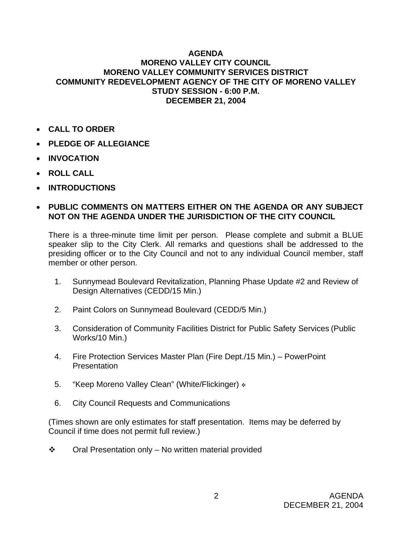## **AGENDA MORENO VALLEY CITY COUNCIL MORENO VALLEY COMMUNITY SERVICES DISTRICT COMMUNITY REDEVELOPMENT AGENCY OF THE CITY OF MORENO VALLEY STUDY SESSION - 6:00 P.M. DECEMBER 21, 2004**

- **CALL TO ORDER**
- **PLEDGE OF ALLEGIANCE**
- **INVOCATION**
- **ROLL CALL**
- **INTRODUCTIONS**

## • **PUBLIC COMMENTS ON MATTERS EITHER ON THE AGENDA OR ANY SUBJECT NOT ON THE AGENDA UNDER THE JURISDICTION OF THE CITY COUNCIL**

There is a three-minute time limit per person. Please complete and submit a BLUE speaker slip to the City Clerk. All remarks and questions shall be addressed to the presiding officer or to the City Council and not to any individual Council member, staff member or other person.

- 1. Sunnymead Boulevard Revitalization, Planning Phase Update #2 and Review of Design Alternatives (CEDD/15 Min.)
- 2. Paint Colors on Sunnymead Boulevard (CEDD/5 Min.)
- 3. Consideration of Community Facilities District for Public Safety Services (Public Works/10 Min.)
- 4. Fire Protection Services Master Plan (Fire Dept./15 Min.) PowerPoint **Presentation**
- 5. "Keep Moreno Valley Clean" (White/Flickinger)  $\ast$
- 6. City Council Requests and Communications

(Times shown are only estimates for staff presentation. Items may be deferred by Council if time does not permit full review.)

 $\div$  Oral Presentation only – No written material provided